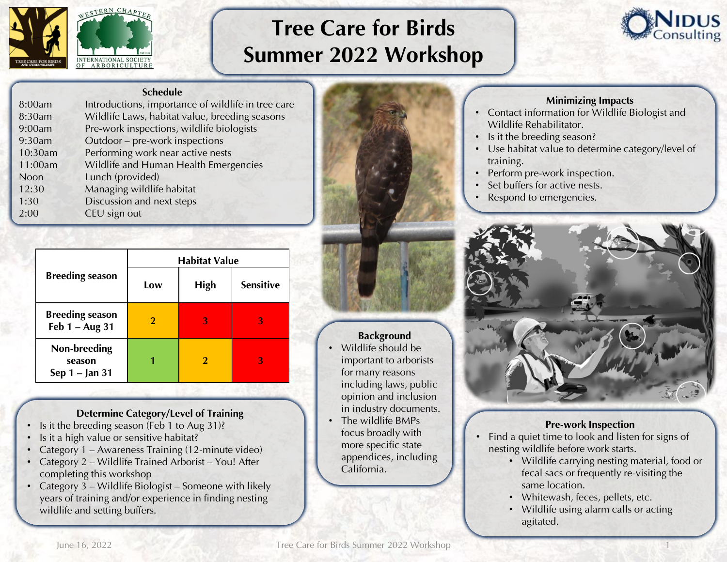

# Tree Care for Birds Summer 2022 Workshop



#### Schedule

| 8:00am  | Introductions, importance of wildlife in tree care |
|---------|----------------------------------------------------|
| 8:30am  | Wildlife Laws, habitat value, breeding seasons     |
| 9:00am  | Pre-work inspections, wildlife biologists          |
| 9:30am  | Outdoor - pre-work inspections                     |
| 10:30am | Performing work near active nests                  |
| 11:00am | Wildlife and Human Health Emergencies              |
| Noon    | Lunch (provided)                                   |
| 12:30   | Managing wildlife habitat                          |
| 1:30    | Discussion and next steps                          |
| 2:00    | CEU sign out                                       |
|         |                                                    |

|                                            | <b>Habitat Value</b> |             |                  |
|--------------------------------------------|----------------------|-------------|------------------|
| <b>Breeding season</b>                     | Low                  | <b>High</b> | <b>Sensitive</b> |
| <b>Breeding season</b><br>Feb $1 - Aug$ 31 | $\bf{2}$             | З           | З                |
| Non-breeding<br>season<br>Sep 1 – Jan 31   |                      |             | 3                |

### Determine Category/Level of Training

- Is it the breeding season (Feb 1 to Aug 31)?
- Is it a high value or sensitive habitat?
- Category 1 Awareness Training (12-minute video)
- Category 2 Wildlife Trained Arborist You! After completing this workshop
- Category 3 Wildlife Biologist Someone with likely years of training and/or experience in finding nesting wildlife and setting buffers.



# **Background**

- Wildlife should be important to arborists for many reasons including laws, public opinion and inclusion in industry documents.
- The wildlife BMPs focus broadly with more specific state appendices, including California.

### Minimizing Impacts

- Contact information for Wildlife Biologist and Wildlife Rehabilitator.
- Is it the breeding season?
- Use habitat value to determine category/level of training.
- Perform pre-work inspection.
- Set buffers for active nests.
- Respond to emergencies.



### Pre-work Inspection

- Find a quiet time to look and listen for signs of nesting wildlife before work starts.
	- Wildlife carrying nesting material, food or fecal sacs or frequently re-visiting the same location.
	- Whitewash, feces, pellets, etc.
	- Wildlife using alarm calls or acting agitated.